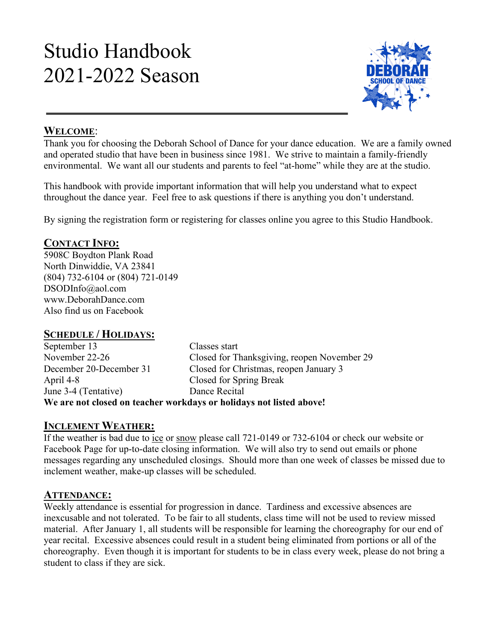# Studio Handbook 2021-2022 Season



#### **WELCOME**:

Thank you for choosing the Deborah School of Dance for your dance education. We are a family owned and operated studio that have been in business since 1981. We strive to maintain a family-friendly environmental. We want all our students and parents to feel "at-home" while they are at the studio.

This handbook with provide important information that will help you understand what to expect throughout the dance year. Feel free to ask questions if there is anything you don't understand.

By signing the registration form or registering for classes online you agree to this Studio Handbook.

#### **CONTACT INFO:**

5908C Boydton Plank Road North Dinwiddie, VA 23841 (804) 732-6104 or (804) 721-0149 DSODInfo@aol.com www.DeborahDance.com Also find us on Facebook

#### **SCHEDULE / HOLIDAYS:**

| September 13            | Classes start                                                       |
|-------------------------|---------------------------------------------------------------------|
| November 22-26          | Closed for Thanksgiving, reopen November 29                         |
| December 20-December 31 | Closed for Christmas, reopen January 3                              |
| April 4-8               | Closed for Spring Break                                             |
| June 3-4 (Tentative)    | Dance Recital                                                       |
|                         | We are not closed on teacher workdays or holidays not listed above! |

#### **INCLEMENT WEATHER:**

If the weather is bad due to ice or snow please call 721-0149 or 732-6104 or check our website or Facebook Page for up-to-date closing information. We will also try to send out emails or phone messages regarding any unscheduled closings. Should more than one week of classes be missed due to inclement weather, make-up classes will be scheduled.

#### **ATTENDANCE:**

Weekly attendance is essential for progression in dance. Tardiness and excessive absences are inexcusable and not tolerated. To be fair to all students, class time will not be used to review missed material. After January 1, all students will be responsible for learning the choreography for our end of year recital. Excessive absences could result in a student being eliminated from portions or all of the choreography. Even though it is important for students to be in class every week, please do not bring a student to class if they are sick.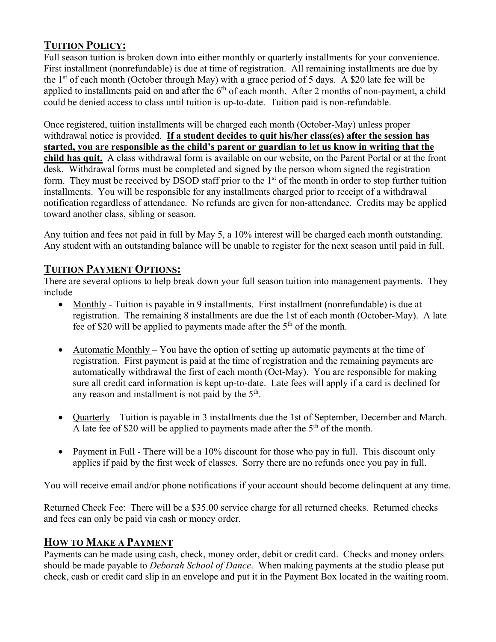## **TUITION POLICY:**

Full season tuition is broken down into either monthly or quarterly installments for your convenience. First installment (nonrefundable) is due at time of registration. All remaining installments are due by the  $1<sup>st</sup>$  of each month (October through May) with a grace period of 5 days. A \$20 late fee will be applied to installments paid on and after the  $6<sup>th</sup>$  of each month. After 2 months of non-payment, a child could be denied access to class until tuition is up-to-date. Tuition paid is non-refundable.

Once registered, tuition installments will be charged each month (October-May) unless proper withdrawal notice is provided. **If a student decides to quit his/her class(es) after the session has started, you are responsible as the child's parent or guardian to let us know in writing that the child has quit.** A class withdrawal form is available on our website, on the Parent Portal or at the front desk. Withdrawal forms must be completed and signed by the person whom signed the registration form. They must be received by DSOD staff prior to the  $1<sup>st</sup>$  of the month in order to stop further tuition installments. You will be responsible for any installments charged prior to receipt of a withdrawal notification regardless of attendance. No refunds are given for non-attendance. Credits may be applied toward another class, sibling or season.

Any tuition and fees not paid in full by May 5, a 10% interest will be charged each month outstanding. Any student with an outstanding balance will be unable to register for the next season until paid in full.

## **TUITION PAYMENT OPTIONS:**

There are several options to help break down your full season tuition into management payments. They include

- Monthly Tuition is payable in 9 installments. First installment (nonrefundable) is due at registration. The remaining 8 installments are due the 1st of each month (October-May). A late fee of \$20 will be applied to payments made after the  $5<sup>th</sup>$  of the month.
- Automatic Monthly You have the option of setting up automatic payments at the time of registration. First payment is paid at the time of registration and the remaining payments are automatically withdrawal the first of each month (Oct-May). You are responsible for making sure all credit card information is kept up-to-date. Late fees will apply if a card is declined for any reason and installment is not paid by the  $5<sup>th</sup>$ .
- Quarterly Tuition is payable in 3 installments due the 1st of September, December and March. A late fee of \$20 will be applied to payments made after the  $5<sup>th</sup>$  of the month.
- Payment in Full There will be a 10% discount for those who pay in full. This discount only applies if paid by the first week of classes. Sorry there are no refunds once you pay in full.

You will receive email and/or phone notifications if your account should become delinquent at any time.

Returned Check Fee: There will be a \$35.00 service charge for all returned checks. Returned checks and fees can only be paid via cash or money order.

## **HOW TO MAKE A PAYMENT**

Payments can be made using cash, check, money order, debit or credit card. Checks and money orders should be made payable to *Deborah School of Dance*. When making payments at the studio please put check, cash or credit card slip in an envelope and put it in the Payment Box located in the waiting room.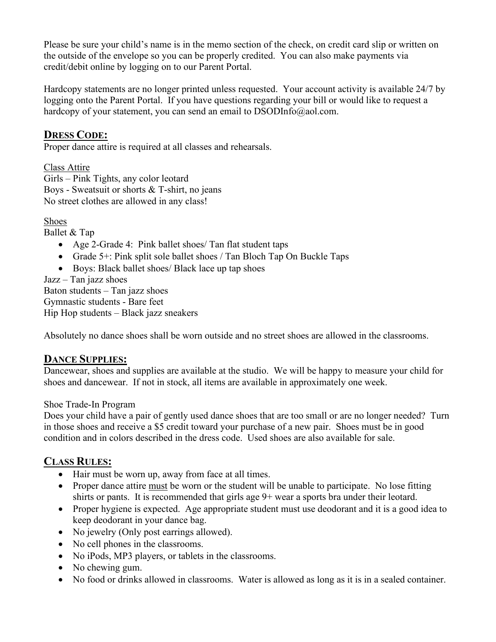Please be sure your child's name is in the memo section of the check, on credit card slip or written on the outside of the envelope so you can be properly credited. You can also make payments via credit/debit online by logging on to our Parent Portal.

Hardcopy statements are no longer printed unless requested. Your account activity is available 24/7 by logging onto the Parent Portal. If you have questions regarding your bill or would like to request a hardcopy of your statement, you can send an email to DSODInfo@aol.com.

#### **DRESS CODE:**

Proper dance attire is required at all classes and rehearsals.

Class Attire Girls – Pink Tights, any color leotard Boys - Sweatsuit or shorts & T-shirt, no jeans No street clothes are allowed in any class!

Shoes

Ballet & Tap

- Age 2-Grade 4: Pink ballet shoes/ Tan flat student taps
- Grade 5+: Pink split sole ballet shoes / Tan Bloch Tap On Buckle Taps
- Boys: Black ballet shoes/ Black lace up tap shoes

Jazz – Tan jazz shoes Baton students – Tan jazz shoes Gymnastic students - Bare feet Hip Hop students – Black jazz sneakers

Absolutely no dance shoes shall be worn outside and no street shoes are allowed in the classrooms.

#### **DANCE SUPPLIES:**

Dancewear, shoes and supplies are available at the studio. We will be happy to measure your child for shoes and dancewear. If not in stock, all items are available in approximately one week.

#### Shoe Trade-In Program

Does your child have a pair of gently used dance shoes that are too small or are no longer needed? Turn in those shoes and receive a \$5 credit toward your purchase of a new pair. Shoes must be in good condition and in colors described in the dress code. Used shoes are also available for sale.

### **CLASS RULES:**

- Hair must be worn up, away from face at all times.
- Proper dance attire must be worn or the student will be unable to participate. No lose fitting shirts or pants. It is recommended that girls age 9+ wear a sports bra under their leotard.
- Proper hygiene is expected. Age appropriate student must use deodorant and it is a good idea to keep deodorant in your dance bag.
- No jewelry (Only post earrings allowed).
- No cell phones in the classrooms.
- No iPods, MP3 players, or tablets in the classrooms.
- No chewing gum.
- No food or drinks allowed in classrooms. Water is allowed as long as it is in a sealed container.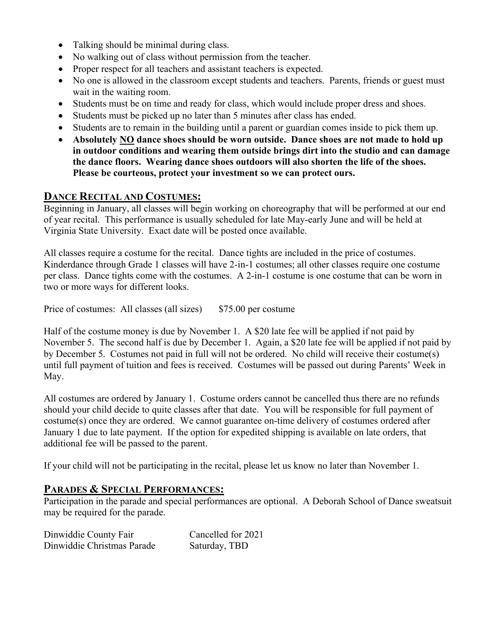- Talking should be minimal during class.
- No walking out of class without permission from the teacher.
- Proper respect for all teachers and assistant teachers is expected.
- No one is allowed in the classroom except students and teachers. Parents, friends or guest must wait in the waiting room.
- Students must be on time and ready for class, which would include proper dress and shoes.
- Students must be picked up no later than 5 minutes after class has ended.
- Students are to remain in the building until a parent or guardian comes inside to pick them up.
- **Absolutely NO dance shoes should be worn outside. Dance shoes are not made to hold up in outdoor conditions and wearing them outside brings dirt into the studio and can damage the dance floors. Wearing dance shoes outdoors will also shorten the life of the shoes. Please be courteous, protect your investment so we can protect ours.**

### **DANCE RECITAL AND COSTUMES:**

Beginning in January, all classes will begin working on choreography that will be performed at our end of year recital. This performance is usually scheduled for late May-early June and will be held at Virginia State University. Exact date will be posted once available.

All classes require a costume for the recital. Dance tights are included in the price of costumes. Kinderdance through Grade 1 classes will have 2-in-1 costumes; all other classes require one costume per class. Dance tights come with the costumes. A 2-in-1 costume is one costume that can be worn in two or more ways for different looks.

Price of costumes: All classes (all sizes) \$75.00 per costume

Half of the costume money is due by November 1. A \$20 late fee will be applied if not paid by November 5. The second half is due by December 1. Again, a \$20 late fee will be applied if not paid by by December 5. Costumes not paid in full will not be ordered. No child will receive their costume(s) until full payment of tuition and fees is received. Costumes will be passed out during Parents' Week in May.

All costumes are ordered by January 1. Costume orders cannot be cancelled thus there are no refunds should your child decide to quite classes after that date. You will be responsible for full payment of costume(s) once they are ordered. We cannot guarantee on-time delivery of costumes ordered after January 1 due to late payment. If the option for expedited shipping is available on late orders, that additional fee will be passed to the parent.

If your child will not be participating in the recital, please let us know no later than November 1.

#### **PARADES & SPECIAL PERFORMANCES:**

Participation in the parade and special performances are optional. A Deborah School of Dance sweatsuit may be required for the parade.

| Dinwiddie County Fair      | Cancelled for 2021 |
|----------------------------|--------------------|
| Dinwiddie Christmas Parade | Saturday, TBD      |